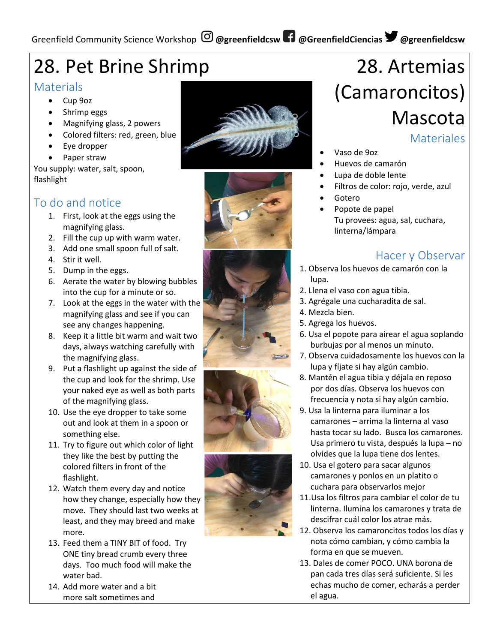# 28. Pet Brine Shrimp

## **Materials**

- Cup 9oz
- Shrimp eggs
- Magnifying glass, 2 powers
- Colored filters: red, green, blue
- Eye dropper
- Paper straw

You supply: water, salt, spoon, flashlight

## To do and notice

- 1. First, look at the eggs using the magnifying glass.
- 2. Fill the cup up with warm water.
- 3. Add one small spoon full of salt.
- 4. Stir it well.
- 5. Dump in the eggs.
- 6. Aerate the water by blowing bubbles into the cup for a minute or so.
- 7. Look at the eggs in the water with the magnifying glass and see if you can see any changes happening.
- 8. Keep it a little bit warm and wait two days, always watching carefully with the magnifying glass.
- 9. Put a flashlight up against the side of the cup and look for the shrimp. Use your naked eye as well as both parts of the magnifying glass.
- 10. Use the eye dropper to take some out and look at them in a spoon or something else.
- 11. Try to figure out which color of light they like the best by putting the colored filters in front of the flashlight.
- 12. Watch them every day and notice how they change, especially how they move. They should last two weeks at least, and they may breed and make more.
- 13. Feed them a TINY BIT of food. Try ONE tiny bread crumb every three days. Too much food will make the water bad.
- 14. Add more water and a bit more salt sometimes and











# 28. Artemias (Camaroncitos) Mascota

**Materiales** 

- Vaso de 9oz
- Huevos de camarón
- Lupa de doble lente
- Filtros de color: rojo, verde, azul
- **Gotero**
- Popote de papel Tu provees: agua, sal, cuchara, linterna/lámpara

# Hacer y Observar

- 1. Observa los huevos de camarón con la lupa.
- 2. Llena el vaso con agua tibia.
- 3. Agrégale una cucharadita de sal.
- 4. Mezcla bien.
- 5. Agrega los huevos.
- 6. Usa el popote para airear el agua soplando burbujas por al menos un minuto.
- 7. Observa cuidadosamente los huevos con la lupa y fíjate si hay algún cambio.
- 8. Mantén el agua tibia y déjala en reposo por dos días. Observa los huevos con frecuencia y nota si hay algún cambio.
- 9. Usa la linterna para iluminar a los camarones – arrima la linterna al vaso hasta tocar su lado. Busca los camarones. Usa primero tu vista, después la lupa – no olvides que la lupa tiene dos lentes.
- 10. Usa el gotero para sacar algunos camarones y ponlos en un platito o cuchara para observarlos mejor
- 11.Usa los filtros para cambiar el color de tu linterna. Ilumina los camarones y trata de descifrar cuál color los atrae más.
- 12. Observa los camaroncitos todos los días y nota cómo cambian, y cómo cambia la forma en que se mueven.
- 13. Dales de comer POCO. UNA borona de pan cada tres días será suficiente. Si les echas mucho de comer, echarás a perder el agua.